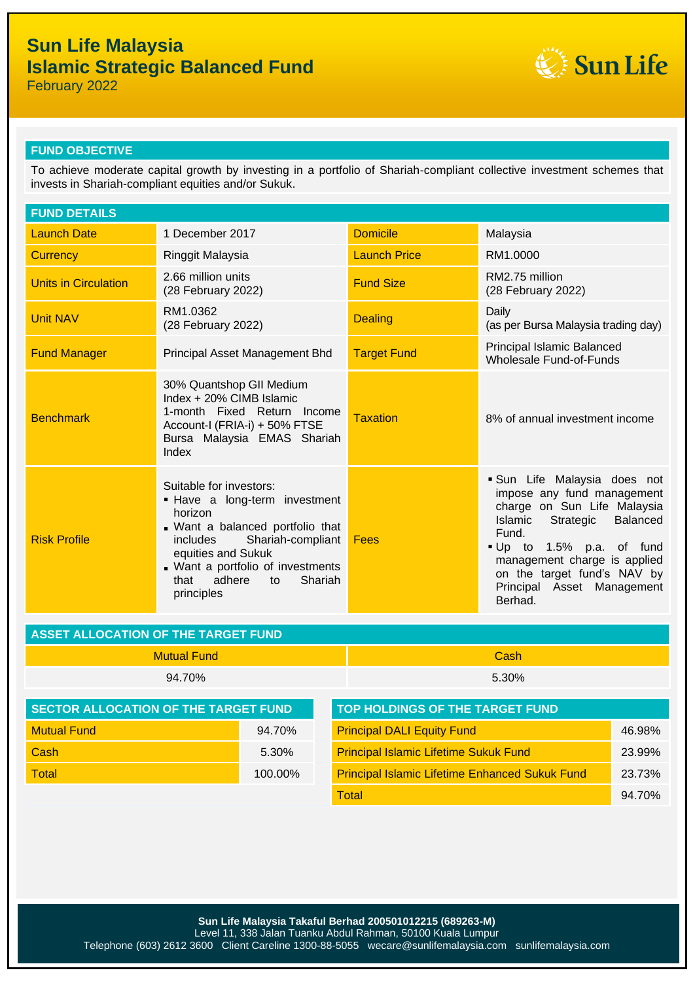# **Sun Life Malaysia Islamic Strategic Balanced Fund**



February 2022

## **FUND OBJECTIVE**

To achieve moderate capital growth by investing in a portfolio of Shariah-compliant collective investment schemes that invests in Shariah-compliant equities and/or Sukuk.

| <b>FUND DETAILS</b>         |                                                                                                                                                                                                                                                      |                     |                                                                                                                                                                                                                                                                      |  |
|-----------------------------|------------------------------------------------------------------------------------------------------------------------------------------------------------------------------------------------------------------------------------------------------|---------------------|----------------------------------------------------------------------------------------------------------------------------------------------------------------------------------------------------------------------------------------------------------------------|--|
| <b>Launch Date</b>          | 1 December 2017                                                                                                                                                                                                                                      | <b>Domicile</b>     | Malaysia                                                                                                                                                                                                                                                             |  |
| <b>Currency</b>             | Ringgit Malaysia                                                                                                                                                                                                                                     | <b>Launch Price</b> | RM1.0000                                                                                                                                                                                                                                                             |  |
| <b>Units in Circulation</b> | 2.66 million units<br>(28 February 2022)                                                                                                                                                                                                             | <b>Fund Size</b>    | RM2.75 million<br>(28 February 2022)                                                                                                                                                                                                                                 |  |
| <b>Unit NAV</b>             | RM1.0362<br>(28 February 2022)                                                                                                                                                                                                                       | <b>Dealing</b>      | Daily<br>(as per Bursa Malaysia trading day)                                                                                                                                                                                                                         |  |
| <b>Fund Manager</b>         | Principal Asset Management Bhd                                                                                                                                                                                                                       | <b>Target Fund</b>  | Principal Islamic Balanced<br><b>Wholesale Fund-of-Funds</b>                                                                                                                                                                                                         |  |
| <b>Benchmark</b>            | 30% Quantshop GII Medium<br>Index + 20% CIMB Islamic<br>1-month Fixed Return Income<br>Account-I (FRIA-i) + 50% FTSE<br>Bursa Malaysia EMAS Shariah<br>Index                                                                                         | <b>Taxation</b>     | 8% of annual investment income                                                                                                                                                                                                                                       |  |
| <b>Risk Profile</b>         | Suitable for investors:<br>- Have a long-term investment<br>horizon<br>. Want a balanced portfolio that<br>Shariah-compliant<br>includes<br>equities and Sukuk<br>. Want a portfolio of investments<br>adhere<br>Shariah<br>that<br>to<br>principles | Fees                | Sun Life Malaysia does not<br>impose any fund management<br>charge on Sun Life Malaysia<br>Strategic Balanced<br>Islamic<br>Fund.<br>Up to 1.5% p.a. of fund<br>management charge is applied<br>on the target fund's NAV by<br>Principal Asset Management<br>Berhad. |  |

| <b>ASSET ALLOCATION OF THE TARGET FUND</b> |             |  |
|--------------------------------------------|-------------|--|
| -Mutual Fund                               | <b>Cash</b> |  |
| 94.70%                                     | 5.30%       |  |

| SECTOR ALLOCATION OF THE TARGET FUND |         | TOP HOLDINGS OF THE TARGET FUND                       |        |  |
|--------------------------------------|---------|-------------------------------------------------------|--------|--|
| <b>Mutual Fund</b>                   | 94.70%  | <b>Principal DALI Equity Fund</b>                     | 46.98% |  |
| Cash                                 | 5.30%   | <b>Principal Islamic Lifetime Sukuk Fund</b>          | 23.99% |  |
| <b>Total</b>                         | 100.00% | <b>Principal Islamic Lifetime Enhanced Sukuk Fund</b> | 23.73% |  |
|                                      |         | <b>Total</b>                                          | 94.70% |  |

**Sun Life Malaysia Takaful Berhad 200501012215 (689263-M)** Level 11, 338 Jalan Tuanku Abdul Rahman, 50100 Kuala Lumpur Telephone (603) 2612 3600 Client Careline 1300-88-5055 wecare@sunlifemalaysia.com sunlifemalaysia.com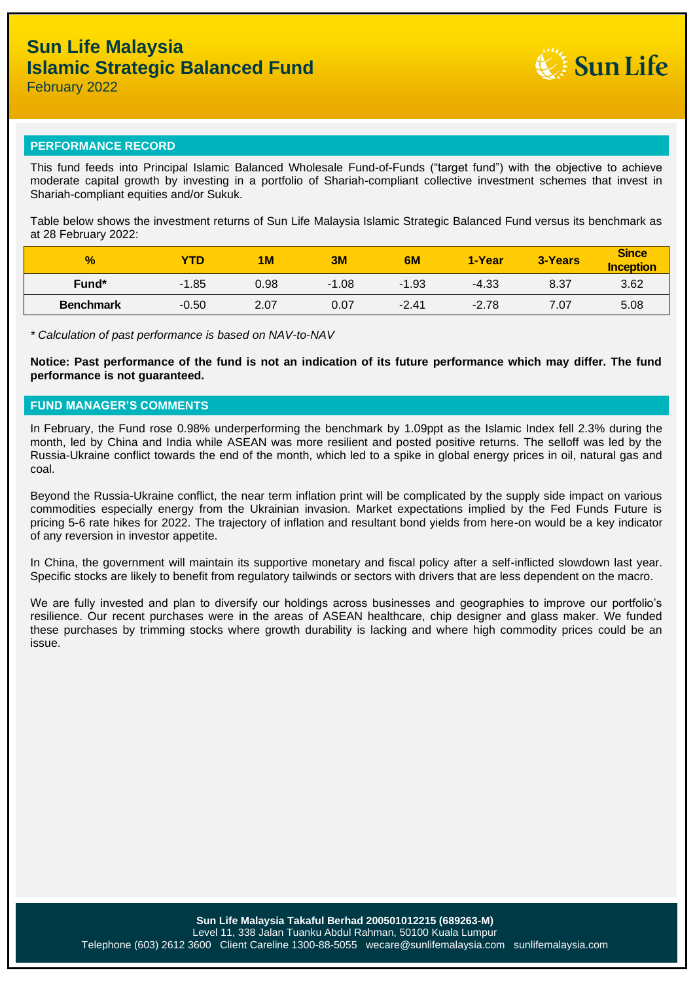

February 2022

### **PERFORMANCE RECORD**

This fund feeds into Principal Islamic Balanced Wholesale Fund-of-Funds ("target fund") with the objective to achieve moderate capital growth by investing in a portfolio of Shariah-compliant collective investment schemes that invest in Shariah-compliant equities and/or Sukuk.

Table below shows the investment returns of Sun Life Malaysia Islamic Strategic Balanced Fund versus its benchmark as at 28 February 2022:

| $\frac{1}{2}$    | <b>YTD</b> | 1 <sub>M</sub> | 3M      | 6M      | 1-Year  | 3-Years | <b>Since</b><br><b>Inception</b> |
|------------------|------------|----------------|---------|---------|---------|---------|----------------------------------|
| Fund*            | $-1.85$    | 0.98           | $-1.08$ | $-1.93$ | $-4.33$ | 8.37    | 3.62                             |
| <b>Benchmark</b> | $-0.50$    | 2.07           | 0.07    | $-2.41$ | $-2.78$ | 7.07    | 5.08                             |

*\* Calculation of past performance is based on NAV-to-NAV*

**Notice: Past performance of the fund is not an indication of its future performance which may differ. The fund performance is not guaranteed.**

### **FUND MANAGER'S COMMENTS**

In February, the Fund rose 0.98% underperforming the benchmark by 1.09ppt as the Islamic Index fell 2.3% during the month, led by China and India while ASEAN was more resilient and posted positive returns. The selloff was led by the Russia-Ukraine conflict towards the end of the month, which led to a spike in global energy prices in oil, natural gas and coal.

Beyond the Russia-Ukraine conflict, the near term inflation print will be complicated by the supply side impact on various commodities especially energy from the Ukrainian invasion. Market expectations implied by the Fed Funds Future is pricing 5-6 rate hikes for 2022. The trajectory of inflation and resultant bond yields from here-on would be a key indicator of any reversion in investor appetite.

In China, the government will maintain its supportive monetary and fiscal policy after a self-inflicted slowdown last year. Specific stocks are likely to benefit from regulatory tailwinds or sectors with drivers that are less dependent on the macro.

We are fully invested and plan to diversify our holdings across businesses and geographies to improve our portfolio's resilience. Our recent purchases were in the areas of ASEAN healthcare, chip designer and glass maker. We funded these purchases by trimming stocks where growth durability is lacking and where high commodity prices could be an issue.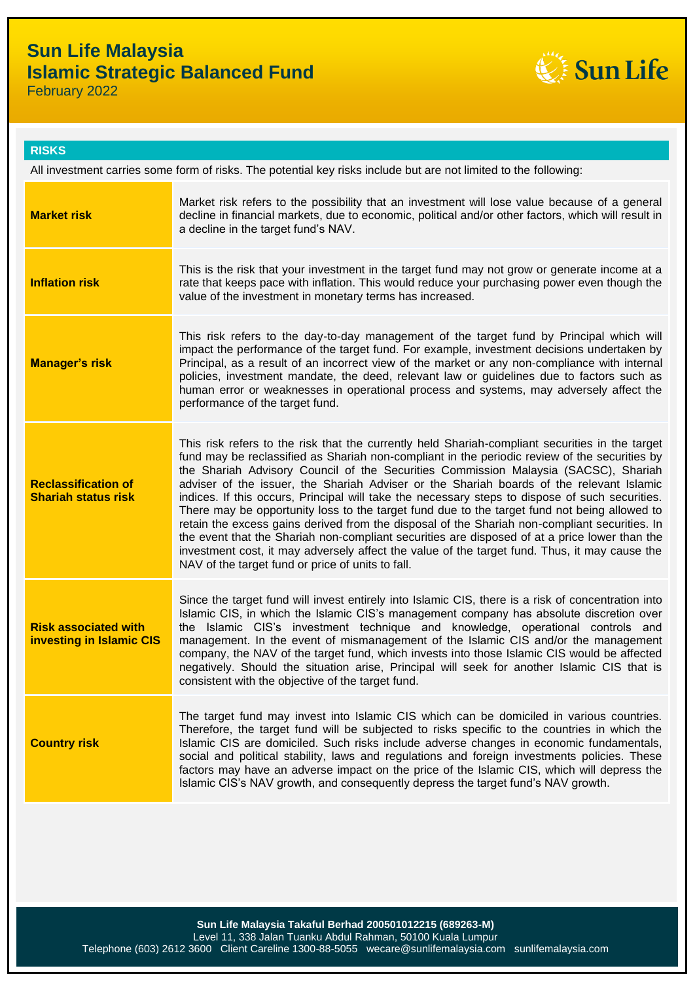# **Sun Life Malaysia Islamic Strategic Balanced Fund**



February 2022

### **RISKS**

All investment carries some form of risks. The potential key risks include but are not limited to the following:

| <b>Market risk</b>                                             | Market risk refers to the possibility that an investment will lose value because of a general<br>decline in financial markets, due to economic, political and/or other factors, which will result in<br>a decline in the target fund's NAV.                                                                                                                                                                                                                                                                                                                                                                                                                                                                                                                                                                                                                                                                                                    |
|----------------------------------------------------------------|------------------------------------------------------------------------------------------------------------------------------------------------------------------------------------------------------------------------------------------------------------------------------------------------------------------------------------------------------------------------------------------------------------------------------------------------------------------------------------------------------------------------------------------------------------------------------------------------------------------------------------------------------------------------------------------------------------------------------------------------------------------------------------------------------------------------------------------------------------------------------------------------------------------------------------------------|
| <b>Inflation risk</b>                                          | This is the risk that your investment in the target fund may not grow or generate income at a<br>rate that keeps pace with inflation. This would reduce your purchasing power even though the<br>value of the investment in monetary terms has increased.                                                                                                                                                                                                                                                                                                                                                                                                                                                                                                                                                                                                                                                                                      |
| <b>Manager's risk</b>                                          | This risk refers to the day-to-day management of the target fund by Principal which will<br>impact the performance of the target fund. For example, investment decisions undertaken by<br>Principal, as a result of an incorrect view of the market or any non-compliance with internal<br>policies, investment mandate, the deed, relevant law or guidelines due to factors such as<br>human error or weaknesses in operational process and systems, may adversely affect the<br>performance of the target fund.                                                                                                                                                                                                                                                                                                                                                                                                                              |
| <b>Reclassification of</b><br><b>Shariah status risk</b>       | This risk refers to the risk that the currently held Shariah-compliant securities in the target<br>fund may be reclassified as Shariah non-compliant in the periodic review of the securities by<br>the Shariah Advisory Council of the Securities Commission Malaysia (SACSC), Shariah<br>adviser of the issuer, the Shariah Adviser or the Shariah boards of the relevant Islamic<br>indices. If this occurs, Principal will take the necessary steps to dispose of such securities.<br>There may be opportunity loss to the target fund due to the target fund not being allowed to<br>retain the excess gains derived from the disposal of the Shariah non-compliant securities. In<br>the event that the Shariah non-compliant securities are disposed of at a price lower than the<br>investment cost, it may adversely affect the value of the target fund. Thus, it may cause the<br>NAV of the target fund or price of units to fall. |
| <b>Risk associated with</b><br><b>investing in Islamic CIS</b> | Since the target fund will invest entirely into Islamic CIS, there is a risk of concentration into<br>Islamic CIS, in which the Islamic CIS's management company has absolute discretion over<br>the Islamic CIS's investment technique and knowledge, operational controls and<br>management. In the event of mismanagement of the Islamic CIS and/or the management<br>company, the NAV of the target fund, which invests into those Islamic CIS would be affected<br>negatively. Should the situation arise, Principal will seek for another Islamic CIS that is<br>consistent with the objective of the target fund.                                                                                                                                                                                                                                                                                                                       |
| <b>Country risk</b>                                            | The target fund may invest into Islamic CIS which can be domiciled in various countries.<br>Therefore, the target fund will be subjected to risks specific to the countries in which the<br>Islamic CIS are domiciled. Such risks include adverse changes in economic fundamentals,<br>social and political stability, laws and regulations and foreign investments policies. These<br>factors may have an adverse impact on the price of the Islamic CIS, which will depress the<br>Islamic CIS's NAV growth, and consequently depress the target fund's NAV growth.                                                                                                                                                                                                                                                                                                                                                                          |